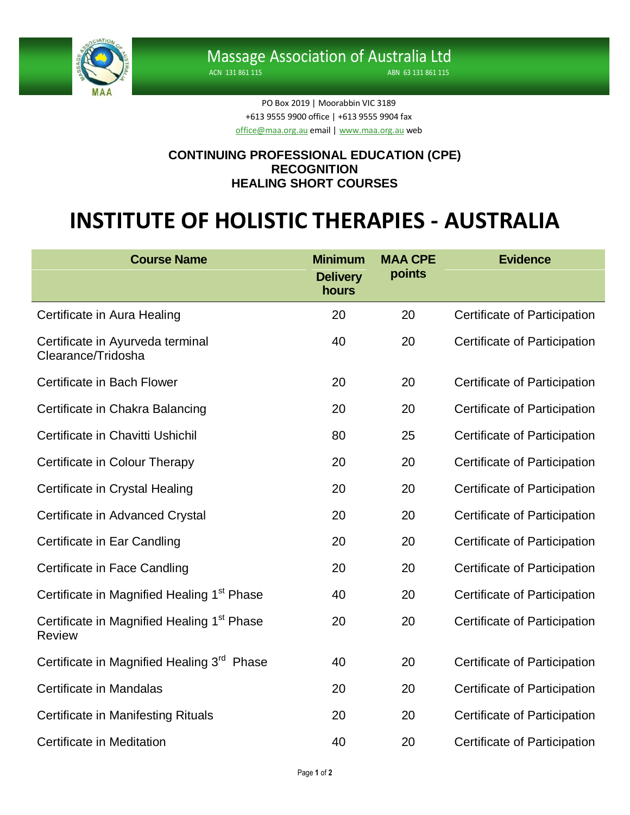

ACN 131 861 115 ABN 63 131 861 115

PO Box 2019 | Moorabbin VIC 3189 +613 9555 9900 office | +613 9555 9904 fax [office@maa.org.au](mailto:office@maa.org.au) email [| www.maa.org.au](http://www.maa.org.au/) web

## **CONTINUING PROFESSIONAL EDUCATION (CPE) RECOGNITION HEALING SHORT COURSES**

## **INSTITUTE OF HOLISTIC THERAPIES - AUSTRALIA**

| <b>Course Name</b>                                                      | <b>Minimum</b><br><b>Delivery</b><br>hours | <b>MAA CPE</b><br>points | <b>Evidence</b>                     |
|-------------------------------------------------------------------------|--------------------------------------------|--------------------------|-------------------------------------|
| Certificate in Aura Healing                                             | 20                                         | 20                       | Certificate of Participation        |
| Certificate in Ayurveda terminal<br>Clearance/Tridosha                  | 40                                         | 20                       | Certificate of Participation        |
| Certificate in Bach Flower                                              | 20                                         | 20                       | Certificate of Participation        |
| Certificate in Chakra Balancing                                         | 20                                         | 20                       | Certificate of Participation        |
| Certificate in Chavitti Ushichil                                        | 80                                         | 25                       | Certificate of Participation        |
| Certificate in Colour Therapy                                           | 20                                         | 20                       | Certificate of Participation        |
| Certificate in Crystal Healing                                          | 20                                         | 20                       | Certificate of Participation        |
| Certificate in Advanced Crystal                                         | 20                                         | 20                       | Certificate of Participation        |
| Certificate in Ear Candling                                             | 20                                         | 20                       | <b>Certificate of Participation</b> |
| Certificate in Face Candling                                            | 20                                         | 20                       | Certificate of Participation        |
| Certificate in Magnified Healing 1 <sup>st</sup> Phase                  | 40                                         | 20                       | Certificate of Participation        |
| Certificate in Magnified Healing 1 <sup>st</sup> Phase<br><b>Review</b> | 20                                         | 20                       | Certificate of Participation        |
| Certificate in Magnified Healing 3 <sup>rd</sup> Phase                  | 40                                         | 20                       | Certificate of Participation        |
| Certificate in Mandalas                                                 | 20                                         | 20                       | Certificate of Participation        |
| Certificate in Manifesting Rituals                                      | 20                                         | 20                       | Certificate of Participation        |
| Certificate in Meditation                                               | 40                                         | 20                       | Certificate of Participation        |